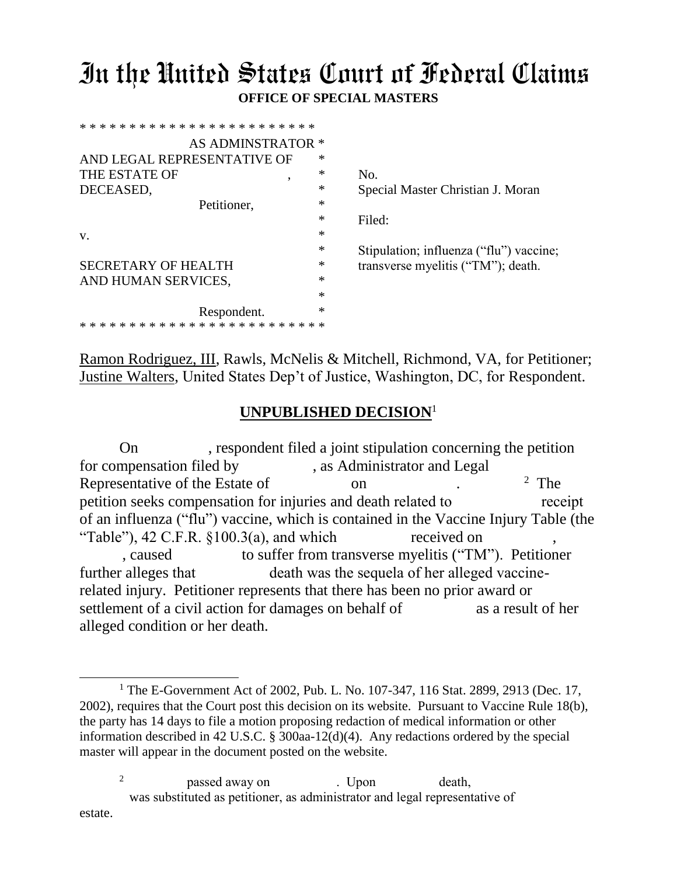## In the United States Court of Federal Claims **OFFICE OF SPECIAL MASTERS**

| AS ADMINSTRATOR *                              |        |                                         |
|------------------------------------------------|--------|-----------------------------------------|
| AND LEGAL REPRESENTATIVE OF                    | ∗      |                                         |
| THE ESTATE OF<br>$\overline{\phantom{a}}$      | $\ast$ | No.                                     |
| DECEASED,                                      | ∗      | Special Master Christian J. Moran       |
| Petitioner,                                    | $\ast$ |                                         |
|                                                | $\ast$ | Filed:                                  |
| v.                                             | *      |                                         |
|                                                | $\ast$ | Stipulation; influenza ("flu") vaccine; |
| <b>SECRETARY OF HEALTH</b>                     | $\ast$ | transverse myelitis ("TM"); death.      |
| AND HUMAN SERVICES,                            | *      |                                         |
|                                                | *      |                                         |
| Respondent.                                    | *      |                                         |
| * * * * * * * * * * * * * * * * * * *<br>* * * |        |                                         |
|                                                |        |                                         |

Ramon Rodriguez, III, Rawls, McNelis & Mitchell, Richmond, VA, for Petitioner; Justine Walters, United States Dep't of Justice, Washington, DC, for Respondent.

## **UNPUBLISHED DECISION**<sup>1</sup>

On , respondent filed a joint stipulation concerning the petition for compensation filed by , as Administrator and Legal Representative of the Estate of on . 2 The petition seeks compensation for injuries and death related to receipt of an influenza ("flu") vaccine, which is contained in the Vaccine Injury Table (the "Table"),  $42$  C.F.R.  $$100.3(a)$ , and which received on , caused to suffer from transverse myelitis ("TM"). Petitioner further alleges that death was the sequela of her alleged vaccinerelated injury. Petitioner represents that there has been no prior award or settlement of a civil action for damages on behalf of as a result of her alleged condition or her death.

2 passed away on . Upon death, was substituted as petitioner, as administrator and legal representative of estate.

 $\overline{a}$ 

<sup>&</sup>lt;sup>1</sup> The E-Government Act of 2002, Pub. L. No. 107-347, 116 Stat. 2899, 2913 (Dec. 17, 2002), requires that the Court post this decision on its website. Pursuant to Vaccine Rule 18(b), the party has 14 days to file a motion proposing redaction of medical information or other information described in 42 U.S.C. § 300aa-12(d)(4). Any redactions ordered by the special master will appear in the document posted on the website.